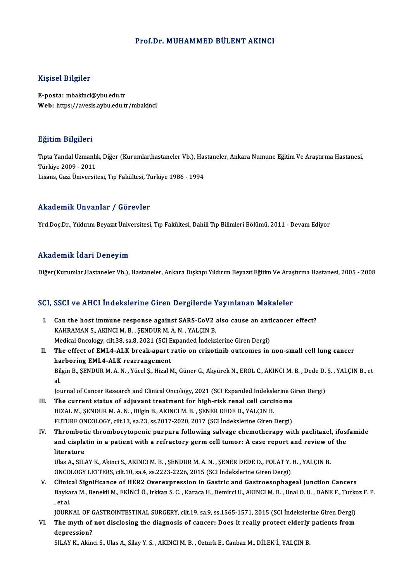#### Prof.Dr. MUHAMMED BÜLENT AKINCI

#### Kişisel Bilgiler

E-posta: mbakinci@ybu.edu.tr Web: https://avesis.aybu.edu.tr/mbakinci

#### Eğitim Bilgileri

**Eğitim Bilgileri**<br>Tıpta Yandal Uzmanlık, Diğer (Kurumlar,hastaneler Vb.), Hastaneler, Ankara Numune Eğitim Ve Araştırma Hastanesi,<br>Türkiye 2009, -2011 **Türkiye 2009 - 2011**<br>Türkiye 2009 - 2011<br>Lisans *Cori Üniversi*t Tıpta Yandal Uzmanlık, Diğer (Kurumlar,hastaneler Vb.), Has<br>Türkiye 2009 - 2011<br>Lisans, Gazi Üniversitesi, Tıp Fakültesi, Türkiye 1986 - 1994 Lisans, Gazi Üniversitesi, Tıp Fakültesi, Türkiye 1986 - 1994<br>Akademik Unvanlar / Görevler

Yrd.Doç.Dr., Yıldırım Beyazıt Üniversitesi, Tıp Fakültesi, Dahili Tıp Bilimleri Bölümü, 2011 - Devam Ediyor

#### Akademik İdari Deneyim

Diğer(Kurumlar,Hastaneler Vb.), Hastaneler, Ankara Dışkapı Yıldırım Beyazıt Eğitim Ve Araştırma Hastanesi, 2005 - 2008

#### SCI, SSCI ve AHCI İndekslerine Giren Dergilerde Yayınlanan Makaleler

- CI, SSCI ve AHCI İndekslerine Giren Dergilerde Yayınlanan Makaleler<br>I. Can the host immune response against SARS-CoV2 also cause an anticancer effect?<br>KAHRAMAN S. AKINCI M. R. SENDUR M.A. N. VALCIN R. Can the host immune response against SARS-CoV2 and the host immune response against SARS-CoV2 and SAHRAMAN S., AKINCI M. B., SENDURM. A. N., YALÇIN B. Can the host immune response against SARS-CoV2 also cause an anti<br>KAHRAMAN S., AKINCI M. B., ŞENDUR M. A. N., YALÇIN B.<br>Medical Oncology, cilt.38, sa.8, 2021 (SCI Expanded İndekslerine Giren Dergi)<br>The effect of EMI 4.ALK KAHRAMAN S., AKINCI M. B. , ŞENDUR M. A. N. , YALÇIN B.<br>Medical Oncology, cilt.38, sa.8, 2021 (SCI Expanded Indekslerine Giren Dergi)<br>II. The effect of EML4-ALK break-apart ratio on crizotinib outcomes in non-small cell lu
- Medical Oncology, cilt.38, sa.8, 2021 (SCI E<br>The effect of EML4-ALK break-apart i<br>harboring EML4-ALK rearrangement<br>Bilgin B. SENDUR M.A.N., Vüsel S. Higel N The effect of EML4-ALK break-apart ratio on crizotinib outcomes in non-small cell lung cancer<br>harboring EML4-ALK rearrangement<br>Bilgin B., ŞENDUR M. A. N. , Yücel Ş., Hizal M., Güner G., Akyürek N., EROL C., AKINCI M. B. , ha<br>Bil<br>Iol Bilgin B., ŞENDUR M. A. N. , Yücel Ş., Hizal M., Güner G., Akyürek N., EROL C., AKINCI M. B. , Dede D.<br>al.<br>Journal of Cancer Research and Clinical Oncology, 2021 (SCI Expanded İndekslerine Giren Dergi)<br>The current statue o al.<br>Iournal of Cancer Research and Clinical Oncology, 2021 (SCI Expanded Indekslerine Giren Dergi)<br>III. The current status of adjuvant treatment for high-risk renal cell carcinoma

- HIZAL M., ŞENDURM.A.N., Bilgin B., AKINCI M.B., ŞENER DEDE D., YALÇIN B. FUTURE ONCOLOGY, cilt.13, sa.23, ss.2017-2020, 2017 (SCI İndekslerine Giren Dergi)
- IV. Thrombotic thrombocytopenic purpura following salvage chemotherapy with paclitaxel, ifosfamide FUTURE ONCOLOGY, cilt.13, sa.23, ss.2017-2020, 2017 (SCI İndekslerine Giren Dergi)<br>Thrombotic thrombocytopenic purpura following salvage chemotherapy with paclitaxel, ifos:<br>and cisplatin in a patient with a refractory germ Thrombot<br>and cispla<br>literature<br><sup>Illoc A SIL</sup> and cisplatin in a patient with a refractory germ cell tumor: A case report and review o<br>literature<br>Ulas A., SILAY K., Akinci S., AKINCI M. B. , ŞENDUR M. A. N. , ŞENER DEDE D., POLAT Y. H. , YALÇIN B.<br>ONCOLOCY LETTERS. si

literature<br>Ulas A., SILAY K., Akinci S., AKINCI M. B. , ŞENDUR M. A. N. , ŞENER DEDE D., POLAT Y. H. , YALÇIN B.<br>ONCOLOGY LETTERS, cilt.10, sa.4, ss.2223-2226, 2015 (SCI İndekslerine Giren Dergi) Ulas A., SILAY K., Akinci S., AKINCI M. B., ŞENDUR M. A. N., ŞENER DEDE D., POLAT Y. H., YALÇIN B.<br>ONCOLOGY LETTERS, cilt.10, sa.4, ss.2223-2226, 2015 (SCI İndekslerine Giren Dergi)<br>V. Clinical Significance of HER2 Overexp

Baykara M., Benekli M., EKİNCİ Ö., Irkkan S. C. , Karaca H., Demirci U., AKINCI M. B. , Unal O. U. , DANE F., Turkoz F. P.<br>, et al. Clinic<br>Bayka<br>, et al.<br>!O!P Baykara M., Benekli M., EKİNCİ Ö., Irkkan S. C. , Karaca H., Demirci U., AKINCI M. B. , Unal O. U. , DANE F., Turko<br>, et al.<br>JOURNAL OF GASTROINTESTINAL SURGERY, cilt.19, sa.9, ss.1565-1571, 2015 (SCI İndekslerine Giren De

et al.<br>JOURNAL OF GASTROINTESTINAL SURGERY, cilt.19, sa.9, ss.1565-1571, 2015 (SCI İndekslerine Giren Dergi)<br>VI. The myth of not disclosing the diagnosis of cancer: Does it really protect elderly patients from JOURNAL OF (The myth of<br>depression?<br>SUAV V. Alin VI. The myth of not disclosing the diagnosis of cancer: Does it really protect elderly patients from<br>depression?<br>SILAY K., Akinci S., Ulas A., Silay Y. S. , AKINCI M. B. , Ozturk E., Canbaz M., DİLEK İ., YALÇIN B.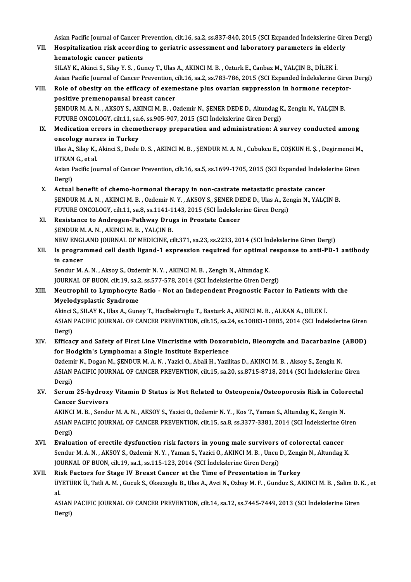Asian Pacific Journal of Cancer Prevention, cilt.16, sa.2, ss.837-840, 2015 (SCI Expanded İndekslerine Giren Dergi)<br>Hespitalization risk asserding to genistric assessment and laboratery parameters in alderly

Asian Pacific Journal of Cancer Prevention, cilt.16, sa.2, ss.837-840, 2015 (SCI Expanded İndekslerine Gire<br>VII. Hospitalization risk according to geriatric assessment and laboratory parameters in elderly Asian Pacific Journal of Cancer P<br>Hospitalization risk accordin<br>hematologic cancer patients<br>SUAV K. Alingi S. Silov V. S. Gu Hospitalization risk according to geriatric assessment and laboratory parameters in elderly<br>hematologic cancer patients<br>SILAY K., Akinci S., Silay Y. S. , Guney T., Ulas A., AKINCI M. B. , Ozturk E., Canbaz M., YALÇIN B.,

Asian Pacific Journal of Cancer Prevention, cilt.16, sa.2, ss.783-786, 2015 (SCI Expanded İndekslerine Giren Dergi)

VIII. Role of obesity on the efficacy of exemestane plus ovarian suppression in hormone receptorpositive premenopausal breast cancer Role of obesity on the efficacy of exemestane plus ovarian suppression in hormone recepto<br>positive premenopausal breast cancer<br>ŞENDUR M. A. N. , AKSOY S., AKINCI M. B. , Ozdemir N., ŞENER DEDE D., Altundag K., Zengin N., Y positive premenopausal breast cancer<br>ŞENDUR M. A. N. , AKSOY S., AKINCI M. B. , Ozdemir N., ŞENER DEDE D., Altundag K<br>FUTURE ONCOLOGY, cilt.11, sa.6, ss.905-907, 2015 (SCI İndekslerine Giren Dergi)<br>Medication errers in sha

## SENDUR M. A. N. , AKSOY S., AKINCI M. B. , Ozdemir N., SENER DEDE D., Altundag K., Zengin N., YALÇIN B.<br>FUTURE ONCOLOGY, cilt.11, sa.6, ss.905-907, 2015 (SCI Indekslerine Giren Dergi)<br>IX. Medication errors in chemotherapy FUTURE ONCOLOGY, cilt.11, sa.<br>Medication errors in chemo<br>oncology nurses in Turkey<br><sup>Hlac A</sup>, Silav K, Altingi S, Dode Medication errors in chemotherapy preparation and administration: A survey conducted among<br>oncology nurses in Turkey<br>Ulas A., Silay K., Akinci S., Dede D. S. , AKINCI M. B. , ŞENDUR M. A. N. , Cubukcu E., COŞKUN H. Ş. , De

oncology nurses in Turkey<br>Ulas A., Silay K., Akinci S., Dede D. S. , AKINCI M. B. , ŞENDUR M. A. N. , Cubukcu E., COŞKUN H. Ş. , Degirmenci M.,<br>UTKAN G., et al. Ulas A., Silay K., Akinci S., Dede D. S. , AKINCI M. B. , ŞENDUR M. A. N. , Cubukcu E., COŞKUN H. Ş. , Degirmenci M.<br>UTKAN G., et al.<br>Asian Pacific Journal of Cancer Prevention, cilt.16, sa.5, ss.1699-1705, 2015 (SCI Expan

UTKAN<br>Asian P<br>Dergi)<br>Actual Asian Pacific Journal of Cancer Prevention, cilt.16, sa.5, ss.1699-1705, 2015 (SCI Expanded Indeks<br>Dergi)<br>X. Actual benefit of chemo-hormonal therapy in non-castrate metastatic prostate cancer<br>SENDUP M A N. AVINCLM B. Ordo

- Dergi)<br>Actual benefit of chemo-hormonal therapy in non-castrate metastatic prostate cancer<br>ŞENDUR M. A. N. , AKINCI M. B. , Ozdemir N. Y. , AKSOY S., ŞENER DEDE D., Ulas A., Zengin N., YALÇIN B.<br>FUTURE ONCOLOGY, cilt.11, s X. Actual benefit of chemo-hormonal therapy in non-castrate metastatic prostate cancer SENDUR M. A. N., AKINCI M. B., Ozdemir N. Y., AKSOY S., SENER DE<br>FUTURE ONCOLOGY, cilt.11, sa.8, ss.1141-1143, 2015 (SCI Indeksler<br>XI. Resistance to Androgen-Pathway Drugs in Prostate Cancer<br>SENDUR M. A. N., AKINCI M. B.,
- FUTURE ONCOLOGY, cilt.11, sa.8, ss.1141-1<br>Resistance to Androgen-Pathway Drug<br>SENDUR M. A. N. , AKINCI M. B. , YALÇIN B.<br>NEW ENCLAND JOUPNAL OF MEDICINE ŞENDUR M. A. N. , AKINCI M. B. , YALÇIN B.<br>NEW ENGLAND JOURNAL OF MEDICINE, cilt.371, sa.23, ss.2233, 2014 (SCI İndekslerine Giren Dergi)

### XII. Is programmed cell death ligand-1 expression required for optimal response to anti-PD-1 antibody in cancer

Sendur M.A.N., Aksoy S., Ozdemir N.Y., AKINCI M.B., Zengin N., Altundag K. JOURNAL OF BUON, cilt.19, sa.2, ss.577-578, 2014 (SCI İndekslerine Giren Dergi)

## Sendur M. A. N. , Aksoy S., Ozdemir N. Y. , AKINCI M. B. , Zengin N., Altundag K.<br>JOURNAL OF BUON, cilt.19, sa.2, ss.577-578, 2014 (SCI İndekslerine Giren Dergi)<br>XIII. Neutrophil to Lymphocyte Ratio - Not an Independent Pr **JOURNAL OF BUON, cilt.19, sa.2**<br>Neutrophil to Lymphocyte<br>Myelodysplastic Syndrome<br>Alingi S. SH AV K. Has A. Gung Neutrophil to Lymphocyte Ratio - Not an Independent Prognostic Factor in Patients w:<br>Myelodysplastic Syndrome<br>Akinci S., SILAY K., Ulas A., Guney T., Hacibekiroglu T., Basturk A., AKINCI M. B. , ALKAN A., DİLEK İ.<br>ASIAN PA

Myelodysplastic Syndrome<br>Akinci S., SILAY K., Ulas A., Guney T., Hacibekiroglu T., Basturk A., AKINCI M. B. , ALKAN A., DİLEK İ.<br>ASIAN PACIFIC JOURNAL OF CANCER PREVENTION, cilt.15, sa.24, ss.10883-10885, 2014 (SCI İndeksl Akinci !<br>ASIAN<br>Dergi)<br>Effices ASIAN PACIFIC JOURNAL OF CANCER PREVENTION, cilt.15, sa.24, ss.10883-10885, 2014 (SCI İndekslerine Giren<br>Dergi)<br>XIV. Efficacy and Safety of First Line Vincristine with Doxorubicin, Bleomycin and Dacarbazine (ABOD)<br>for Hods

Dergi)<br>Efficacy and Safety of First Line Vincristine with Doxorubicin, Bleomycin and Dacarbazine (ABOD)<br>for Hodgkin's Lymphoma: a Single Institute Experience Efficacy and Safety of First Line Vincristine with Doxorubicin, Bleomycin and Dacarbazine<br>for Hodgkin's Lymphoma: a Single Institute Experience<br>Ozdemir N., Dogan M., ŞENDUR M. A. N. , Yazici O., Abali H., Yazilitas D., AKI

for Hodgkin's Lymphoma: a Single Institute Experience<br>Ozdemir N., Dogan M., ŞENDUR M. A. N. , Yazici O., Abali H., Yazilitas D., AKINCI M. B. , Aksoy S., Zengin N.<br>ASIAN PACIFIC JOURNAL OF CANCER PREVENTION, cilt.15, sa.20 Ozdemi<br>ASIAN<br>Dergi) ASIAN PACIFIC JOURNAL OF CANCER PREVENTION, cilt.15, sa.20, ss.8715-8718, 2014 (SCI İndekslerine Giren<br>Dergi)<br>XV. Serum 25-hydroxy Vitamin D Status is Not Related to Osteopenia/Osteoporosis Risk in Colorectal<br>Cangar Surviv

# Dergi)<br>XV. Serum 25-hydroxy Vitamin D Status is Not Related to Osteopenia/Osteoporosis Risk in Colorectal<br>Cancer Survivors Serum 25-hydroxy Vitamin D Status is Not Related to Osteopenia/Osteoporosis Risk in Colo:<br>Cancer Survivors<br>AKINCI M. B. , Sendur M. A. N. , AKSOY S., Yazici O., Ozdemir N. Y. , Kos T., Yaman S., Altundag K., Zengin N.<br>ASIA

Cancer Survivors<br>AKINCI M. B. , Sendur M. A. N. , AKSOY S., Yazici O., Ozdemir N. Y. , Kos T., Yaman S., Altundag K., Zengin N.<br>ASIAN PACIFIC JOURNAL OF CANCER PREVENTION, cilt.15, sa.8, ss.3377-3381, 2014 (SCI İndekslerin AKINCI<br>ASIAN<br>Dergi)<br>Evolug ASIAN PACIFIC JOURNAL OF CANCER PREVENTION, cilt.15, sa.8, ss.3377-3381, 2014 (SCI Indekslerine G<br>Dergi)<br>XVI. Evaluation of erectile dysfunction risk factors in young male survivors of colorectal cancer<br>Sondur M.A.N., AKSO

Dergi)<br><mark>Evaluation of erectile dysfunction risk factors in young male survivors of colorectal cancer</mark><br>Sendur M. A. N. , AKSOY S., Ozdemir N. Y. , Yaman S., Yazici O., AKINCI M. B. , Uncu D., Zengin N., Altundag K.<br>JOURNAL Evaluation of erectile dysfunction risk factors in young male survivors<br>Sendur M. A. N., AKSOY S., Ozdemir N. Y., Yaman S., Yazici O., AKINCI M. B., Uncu<br>JOURNAL OF BUON, cilt.19, sa.1, ss.115-123, 2014 (SCI İndekslerine G Sendur M. A. N., AKSOY S., Ozdemir N. Y., Yaman S., Yazici O., AKINCI M. B., Uncu D., Zeng<br>JOURNAL OF BUON, cilt.19, sa.1, ss.115-123, 2014 (SCI İndekslerine Giren Dergi)<br>XVII. Risk Factors for Stage IV Breast Cancer at th

## JOURNAL OF BUON, cilt.19, sa.1, ss.115-123, 2014 (SCI İndekslerine Giren Dergi)<br>Risk Factors for Stage IV Breast Cancer at the Time of Presentation in Turkey<br>ÜYETÜRK Ü., Tatli A. M. , Gucuk S., Oksuzoglu B., Ulas A., Avci Ri:<br>ÜY<br>al. ÜYETÜRK Ü., Tatli A. M. , Gucuk S., Oksuzoglu B., Ulas A., Avci N., Ozbay M. F. , Gunduz S., AKINCI M. B. , Salim D. l<br>al.<br>ASIAN PACIFIC JOURNAL OF CANCER PREVENTION, cilt.14, sa.12, ss.7445-7449, 2013 (SCI İndekslerine Gi

al.<br>ASIAN PACIFIC JOURNAL OF CANCER PREVENTION, cilt.14, sa.12, ss.7445-7449, 2013 (SCI İndekslerine Giren<br>Dergi)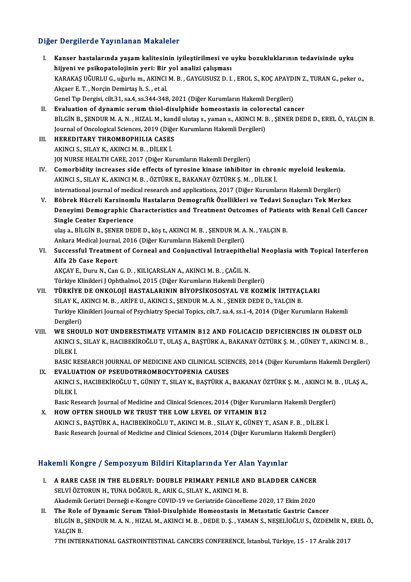#### Diğer Dergilerde Yayınlanan Makaleler

- I. Kanser hastalarında yaşamkalitesinin iyileştirilmesi ve uyku bozukluklarının tedavisinde uyku hijyeni ve hayandan hakareteri<br>Kanser hastalarında yaşam kalitesinin iyileştirilmesi ve u<br>hijyeni ve psikopatolojinin yeri: Bir yol analizi çalışması<br>KARAKAS UČURLU.C. uğurlu m. AKINCLM B. CAYCUSUSZ D. L Kanser hastalarında yaşam kalitesinin iyileştirilmesi ve uyku bozukluklarının tedavisinde uyku<br>hijyeni ve psikopatolojinin yeri: Bir yol analizi çalışması<br>KARAKAŞ UĞURLU G., uğurlu m., AKINCI M. B. , GAYGUSUSZ D. I. , EROL hijyeni ve psikopatolojinin yeri: Bir<br>KARAKAŞ UĞURLU G., uğurlu m., AKINCI<br>Akçaer E. T. , Norçin Demirtaş h. S. , et al.<br>Canel Tin Dengisi, silt 21, sa 4, sa 244, 248 KARAKAŞ UĞURLU G., uğurlu m., AKINCI M. B. , GAYGUSUSZ D. I. , EROL S., KOÇ APAYD.<br>Akçaer E. T. , Norçin Demirtaş h. S. , et al.<br>Genel Tıp Dergisi, cilt.31, sa.4, ss.344-348, 2021 (Diğer Kurumların Hakemli Dergileri)<br>Evalu Akçaer E. T. , Norçin Demirtaş h. S. , et al.<br>Genel Tıp Dergisi, cilt.31, sa.4, ss.344-348, 2021 (Diğer Kurumların Hakemli Dergileri)<br>II. Evaluation of dynamic serum thiol-disulphide homeostasis in colorectal cancer<br>Pit Ci Genel Tıp Dergisi, cilt.31, sa.4, ss.344-348, 2021 (Diğer Kurumların Hakemli Dergileri)<br>Bitalition of dynamic serum thiol-disulphide homeostasis in colorectal cancer<br>BİLGİN B., ŞENDUR M. A. N. , HIZAL M., kandil ulutaş s., Evaluation of dynamic serum thiol-disulphide homeostasis in color<br>BİLGİN B., ŞENDUR M. A. N. , HIZAL M., kandil ulutaş s., yaman s., AKINCI M. I<br>Journal of Oncological Sciences, 2019 (Diğer Kurumların Hakemli Dergileri)<br>HE III. HEREDITARY THROMBOPHILIA CASES<br>AKINCI S. SILAY K. AKINCI M. B. DİLEK İ. Journal of Oncological Sciences, 2019 (Diğer Kurumların Hakemli Dergileri) JOJ NURSE HEALTH CARE, 2017 (Diğer Kurumların Hakemli Dergileri) AKINCI S., SILAY K., AKINCI M. B. , DİLEK İ.<br>IV. Comorbidity increases side effects of tyrosine kinase inhibitor in chronic myeloid leukemia.<br>AKINCI S. SILAY K. AKINCI M. B., ÖZTÜRK E. BAKANAY ÖZTÜRK S. M., DİLEK İ. JOJ NURSE HEALTH CARE, 2017 (Diğer Kurumların Hakemli Dergileri)<br>Comorbidity increases side effects of tyrosine kinase inhibitor in chrol<br>AKINCI S., SILAY K., AKINCI M. B. , ÖZTÜRK E., BAKANAY ÖZTÜRK Ş. M. , DİLEK İ.<br>inter Comorbidity increases side effects of tyrosine kinase inhibitor in chronic myeloid leukemia<br>AKINCI S., SILAY K., AKINCI M. B. , ÖZTÜRK E., BAKANAY ÖZTÜRK Ş. M. , DİLEK İ.<br>international journal of medical research and appli AKINCI S., SILAY K., AKINCI M. B. , ÖZTÜRK E., BAKANAY ÖZTÜRK Ş. M. , DİLEK İ.<br>1991- international journal of medical research and applications, 2017 (Diğer Kurumların Hakemli Dergileri)<br>1991- V. Böbrek Hücreli Karsinomlu international journal of medical research and applications, 2017 (Diğer Kurumların Hakemli Dergileri)<br>Böbrek Hücreli Karsinomlu Hastaların Demografik Özellikleri ve Tedavi Sonuçları Tek Merkez<br>Deneyimi Demographic Characte Böbrek Hücreli Karsinom<br>Deneyimi Demographic Cl<br>Single Center Experience<br><sup>vloce</sub> Pilcin P. SENEP DEI</sup> Deneyimi Demographic Characteristics and Treatment Outcomes of Patien<br>Single Center Experience<br>ulaş a., BİLGİN B., ŞENER DEDE D., köş t., AKINCI M. B. , ŞENDUR M. A. N. , YALÇIN B.<br>Ankara Madiaal Jaurnal 2016 (Diğer Kuruml Single Center Experience<br>ulaş a., BİLGİN B., ŞENER DEDE D., köş t., AKINCI M. B. , ŞENDUR M. A<br>Ankara Medical Journal, 2016 (Diğer Kurumların Hakemli Dergileri)<br>Suassastul Treatmant of Carnaal and Canjunatival Intraanith ulaş a., BİLGİN B., ŞENER DEDE D., köş t., AKINCI M. B. , ŞENDUR M. A. N. , YALÇIN B.<br>Ankara Medical Journal, 2016 (Diğer Kurumların Hakemli Dergileri)<br>VI. Successful Treatment of Corneal and Conjunctival Intraepitheli Ankara Medical Journa<br>Successful Treatmen<br>Alfa 2b Case Report<br>AKCAV E. Dumi N. Can Successful Treatment of Corneal and Conjunctival Intraepithel<br>Alfa 2b Case Report<br>AKÇAY E., Duru N., Can G. D. , KILIÇARSLAN A., AKINCI M. B. , ÇAĞIL N.<br>Türkiye Klinikleri LOphthelmel 2015 (Diğen Kurumların Hakemli Derg Alfa 2b Case Report<br>AKÇAY E., Duru N., Can G. D. , KILIÇARSLAN A., AKINCI M. B. , ÇAĞIL N.<br>Türkiye Klinikleri J Ophthalmol, 2015 (Diğer Kurumların Hakemli Dergileri)<br>Tüpkiye DE ONKOLOLİ HASTAL ARININ RİYORSİKOSOSYAL VE KOZ AKÇAY E., Duru N., Can G. D. , KILIÇARSLAN A., AKINCI M. B. , ÇAĞIL N.<br>Türkiye Klinikleri J Ophthalmol, 2015 (Diğer Kurumların Hakemli Dergileri)<br>VII. TÜRKİYE DE ONKOLOJİ HASTALARININ BİYOPSİKOSOSYAL VE KOZMİK İHTIYAÇL Türkiye Klinikleri J Ophthalmol, 2015 (Diğer Kurumların Hakemli Dergileri)<br>TÜRKİYE DE ONKOLOJİ HASTALARININ BİYOPSİKOSOSYAL VE KOZMİK İHTIYAÇ<br>SILAY K., AKINCI M. B. , ARİFE U., AKINCI S., ŞENDUR M. A. N. , ŞENER DEDE D., Y Turkiye Klinikleri Journal of Psychiatry Special Topics, cilt.7, sa.4, ss.1-4, 2014 (Diğer Kurumların Hakemli<br>Dergileri) SILAY K., AKINCI M. B., ARIFE U., AKINCI S., SENDUR M. A. N., SENER DEDE D., YALÇIN B. VIII. WE SHOULD NOT UNDERESTIMATE VITAMIN B12 AND FOLICACID DEFICIENCIES IN OLDEST OLD Dergileri)<br>WE SHOULD NOT UNDERESTIMATE VITAMIN B12 AND FOLICACID DEFICIENCIES IN OLDEST OLD<br>AKINCI S., SILAY K., HACIBEKİROĞLU T., ULAŞ A., BAŞTÜRK A., BAKANAY ÖZTÜRK Ş. M. , GÜNEY T., AKINCI M. B. ,<br>DİLEK İ **WE SHO<br>AKINCI S<br>DİLEK İ.**<br>PASIC PI AKINCI S., SILAY K., HACIBEKİROĞLU T., ULAŞ A., BAŞTÜRK A., BAKANAY ÖZTÜRK Ş. M. , GÜNEY T., AKINCI M. B. ,<br>DİLEK İ.<br>BASIC RESEARCH JOURNAL OF MEDICINE AND CILINICAL SCIENCES, 2014 (Diğer Kurumların Hakemli Dergileri)<br>EVAL DILEK I.<br>BASIC RESEARCH JOURNAL OF MEDICINE AND CILINICAL SCIE<br>IX. EVALUATION OF PSEUDOTHROMBOCYTOPENIA CAUSES BASIC RESEARCH JOURNAL OF MEDICINE AND CILINICAL SCIENCES, 2014 (Diğer Kurumların Hakemli Dergileri)<br><mark>EVALUATION OF PSEUDOTHROMBOCYTOPENIA CAUSES</mark><br>AKINCI S., HACIBEKİROĞLU T., GÜNEY T., SILAY K., BAŞTÜRK A., BAKANAY ÖZTÜRK IX. EVALUATION OF PSEUDOTHROMBOCYTOPENIA CAUSES<br>AKINCI S., HACIBEKİROĞLU T., GÜNEY T., SILAY K., BAŞTÜRK A.<br>DİLEK İ. AKINCI S., HACIBEKİROĞLU T., GÜNEY T., SILAY K., BASTÜRK A., BAKANAY ÖZTÜRK S. M., AKINCI M. B., ULAS A., X. HOW OFTEN SHOULD WE TRUST THE LOW LEVEL OF VITAMIN B12<br>AKINCI S., BASTÜRK A., HACIBEKİROĞLU T., AKINCI M. B., SILAY K., GÜNEY T., ASAN F. B., DİLEK İ. Basic Research Journal of Medicine and Clinical Sciences, 2014 (Diğer Kurumların Hakemli Dergileri) Basic Research Journal of Medicine and Clinical Sciences, 2014 (Diğer Kurumların Hakemli Dergileri) Hakemli Kongre / Sempozyum Bildiri Kitaplarında Yer Alan Yayınlar akemli Kongre / Sempozyum Bildiri Kitaplarında Yer Alan Yayınlar<br>I. A RARE CASE IN THE ELDERLY: DOUBLE PRIMARY PENILE AND BLADDER CANCER<br>SELVİ ÖZTOPUN HATINA DOČPUL BARIK GALAY KAKINCI MAR
	- SELVI ÖZTORUN H., TUNA DOĞRUL R., ARIK G., SILAY K., AKINCI M. B.<br>SELVİ ÖZTORUN H., TUNA DOĞRUL R., ARIK G., SILAY K., AKINCI M. B.<br>Akademik Ceristri Derneği e Kongre COVID 19 ve Ceristride Güncelle A RARE CASE IN THE ELDERLY: DOUBLE PRIMARY PENILE AND BLADDER CANCER<br>SELVİ ÖZTORUN H., TUNA DOĞRUL R., ARIK G., SILAY K., AKINCI M. B.<br>Akademik Geriatri Derneği e-Kongre COVID-19 ve Geriatride Güncelleme 2020, 17 Ekim 2020 SELVI ÖZTORUN H., TUNA DOĞRUL R., ARIK G., SILAY K., AKINCI M. B.<br>Akademik Geriatri Derneği e-Kongre COVID-19 ve Geriatride Güncelleme 2020, 17 Ekim 2020<br>II. The Role of Dynamic Serum Thiol-Disulphide Homeostasis in Metast
	- Akademik Geriatri Derneği e-Kongre COVID-19 ve Geriatride Güncelleme 2020, 17 Ekim 2020<br>The Role of Dynamic Serum Thiol-Disulphide Homeostasis in Metastatic Gastric Cancer<br>BİLGİN B., ŞENDUR M. A. N. , HIZAL M., AKINCI M. B The Role<br>BİLGİN B.,<br>YALÇIN B.<br>7TH INTER BİLGİN B., ŞENDUR M. A. N. , HIZAL M., AKINCI M. B. , DEDE D. Ş. , YAMAN S., NEŞELİOĞLU S., ÖZDEMİR N.,<br>YALÇIN B.<br>7TH INTERNATIONAL GASTROINTESTINAL CANCERS CONFERENCE, İstanbul, Türkiye, 15 - 17 Aralık 2017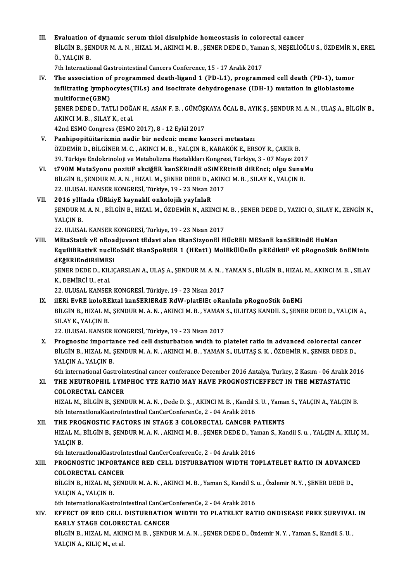III. Evaluation of dynamic serum thiol disulphide homeostasis in colorectal cancer<br>PUCINE SENDURMAN, HIZALMANINGLME, SENER DEDE D. Vaman S. NESELÍOC Evaluation of dynamic serum thiol disulphide homeostasis in colorectal cancer<br>BİLGİN B., ŞENDUR M. A. N. , HIZAL M., AKINCI M. B. , ŞENER DEDE D., Yaman S., NEŞELİOĞLU S., ÖZDEMİR N., EREL<br>Ö. XALGIN P Evaluation<br>BİLGİN B., ŞE<br>Ö., YALÇIN B.<br>7th Internatio BİLGİN B., ŞENDUR M. A. N. , HIZAL M., AKINCI M. B. , ŞENER DEDE D., Yama<br>Ö., YALÇIN B.<br>7th International Gastrointestinal Cancers Conference, 15 - 17 Aralık 2017<br>The association of programmed desth lisend 1 (PD 11), progr

Ö., YALÇIN B.<br>7th International Gastrointestinal Cancers Conference, 15 - 17 Aralık 2017<br>IV. The association of programmed death-ligand 1 (PD-L1), programmed cell death (PD-1), tumor<br>infiltrating lumphosutes(TH s) and isos 7th International Gastrointestinal Cancers Conference, 15 - 17 Aralık 2017<br>The association of programmed death-ligand 1 (PD-L1), programmed cell death (PD-1), tumor<br>infiltrating lymphocytes(TILs) and isocitrate dehydrogena infiltrating lymphocytes(TILs) and isocitrate dehydrogenase (IDH-1) mutation in glioblastome

multiforme(GBM)<br>SENER DEDE D., TATLI DOĞAN H., ASAN F. B. , GÜMÜŞKAYA ÖCAL B., AYIK Ş., ŞENDUR M. A. N. , ULAŞ A., BİLGİN B., AKINCIM.B. ,SILAYK.,etal.

42nd ESMO Congress (ESMO 2017), 8 - 12 Eylül 2017

- V. Panhipopitüitarizmin nadir bir nedeni: meme kanseri metastazı 42nd ESMO Congress (ESMO 2017), 8 - 12 Eylül 2017<br>Panhipopitüitarizmin nadir bir nedeni: meme kanseri metastazı<br>ÖZDEMİR D., BİLGİNER M. C. , AKINCI M. B. , YALÇIN B., KARAKÖK E., ERSOY R., ÇAKIR B.<br>20 Türkiye Endekrineleji Panhipopitüitarizmin nadir bir nedeni: meme kanseri metastazı<br>ÖZDEMİR D., BİLGİNER M. C. , AKINCI M. B. , YALÇIN B., KARAKÖK E., ERSOY R., ÇAKIR B.<br>39. Türkiye Endokrinoloji ve Metabolizma Hastalıkları Kongresi, Türkiye, 3 VI. t790MMutaSyonu pozitiF akciğER kanSERindE oSiMERtiniB diREnci; olgu SunuMu
- 39. Türkiye Endokrinoloji ve Metabolizma Hastalıkları Kongresi, Türkiye, 3 07 Mayıs 201'<br>t790M MutaSyonu pozitiF akciğER kanSERindE oSiMERtiniB diREnci; olgu Sunul<br>BİLGİN B., ŞENDUR M. A. N. , HIZAL M., ŞENER DEDE D., AK t790M MutaSyonu pozitiF akciğER kanSERindE oSiMEF<br>BİLGİN B., ŞENDUR M. A. N. , HIZAL M., ŞENER DEDE D., AKIN<br>22. ULUSAL KANSER KONGRESİ, Türkiye, 19 - 23 Nisan 2017<br>2016 yılında tüpkiyE kaynaklı ankalajik yayınlap BİLGİN B., ŞENDUR M. A. N. , HIZAL M., ŞENER DEDE D., A<br>22. ULUSAL KANSER KONGRESİ, Türkiye, 19 - 23 Nisan 2<br>VII. 2016 yIlinda tÜRkiyE kaynaklı onkolojik yayInlaR<br>SENDUR M. A. N. BİLGİN B. HIZAL M. ÖZDEMİR N. AKIN
- ŞENDUR M. A. N. , BİLGİN B., HIZAL M., ÖZDEMİR N., AKINCI M. B. , ŞENER DEDE D., YAZICI O., SILAY K., ZENGİN N.,<br>YALÇIN B. VII. 2016 yIlInda tÜRkiyE kaynaklI onkolojik yayInlaR YALÇIN B.<br>22. ULUSAL KANSER KONGRESİ, Türkiye, 19 - 23 Nisan 2017<br>VIII. MEtaStatik vE nEoadjuvant tEdavi alan tRanSizyonEl HÜcREli MESanE kanSERindE HuMan<br>EquiliPPotivE nuclEoSidE tPonSpoPtEP 1 (HEnt1) MolEkülünün pPEdikti

22. ULUSAL KANSER KONGRESİ, Türkiye, 19 - 23 Nisan 2017

EquiliBRativE nuclEoSidE tRanSpoRtER 1 (HEnt1) MolEkÜlÜnÜn pREdiktiF vE pRognoStik önEMinin MEtaStatik vE nEoa<br>EquiliBRativE nuclE<br>dEğERlEndiRilMESi<br>SENEP DEDE D. KU IG EquiliBRativE nuclEoSidE tRanSpoRtER 1 (HEnt1) MolEkÜlÜnÜn pREdiktiF vE pRognoStik önEMinin<br>dEğERlEndiRilMESi<br>ŞENER DEDE D., KILIÇARSLAN A., ULAŞ A., ŞENDUR M. A. N. , YAMAN S., BİLGİN B., HIZAL M., AKINCI M. B. , SILAY<br>K.

**dEğERIEndiRilMES<br>ŞENER DEDE D., KIL<br>K., DEMİRCİ U., etal.**<br>22. ULUSAL KANSER ŞENER DEDE D., KILIÇARSLAN A., ULAŞ A., ŞENDUR M. A. N. , '<br>K., DEMİRCİ U., et al.<br>22. ULUSAL KANSER KONGRESİ, Türkiye, 19 - 23 Nisan 2017<br>iledi Eude kolopektal kanSeplepar RdW, platelet opa K., DEMİRCİ U., et al.<br>22. ULUSAL KANSER KONGRESİ, Türkiye, 19 - 23 Nisan 2017<br>IX. ilERi EvRE koloREktal kanSERlERdE RdW-platElEt oRanInIn pRognoStik önEMi

22. ULUSAL KANSER KONGRESİ, Türkiye, 19 - 23 Nisan 2017<br>il<mark>eri Evre kolorektal kanserlerde RdW-platelet oRanının pRognoStik öneMi</mark><br>BİLGİN B., HIZAL M., ŞENDUR M. A. N. , AKINCI M. B. , YAMAN S., ULUTAŞ KANDİL S., ŞENER DED SILAY K., YALÇIN B.<br>22. ULUSAL KANSER KONGRESİ, Türkiye, 19 - 23 Nisan 2017 BİLGİN B., HIZAL M., ŞENDUR M. A. N. , AKINCI M. B. , YAMAN<br>SILAY K., YALÇIN B.<br>22. ULUSAL KANSER KONGRESİ, Türkiye, 19 - 23 Nisan 2017<br>Prognostis importansa rad sall disturbation uudth to r

X. Prognostic importance red cell disturbation width to platelet ratio in advanced colorectal cancer 22. ULUSAL KANSER KONGRESİ, Türkiye, 19 - 23 Nisan 2017<br>Prognostic importance red cell disturbation width to platelet ratio in advanced colorectal cance<br>BİLGİN B., HIZAL M., ŞENDUR M. A. N. , AKINCI M. B. , YAMAN S., ULUTA Prognostic importa<br>BİLGİN B., HIZAL M., Ş<br>YALÇIN A., YALÇIN B.<br>Eth international Cast BİLGİN B., HIZAL M., ŞENDUR M. A. N. , AKINCI M. B. , YAMAN S., ULUTAŞ S. K. , ÖZDEMİR N., ŞENER DEDE D.,<br>YALÇIN A., YALÇIN B.<br>6th international Gastrointestinal cancer conferance December 2016 Antalya, Turkey, 2 Kasım - 0

YALÇIN A., YALÇIN B.<br>6th international Gastrointestinal cancer conferance December 2016 Antalya, Turkey, 2 Kasım - 06 Aralık 2<br>8. THE NEUTROPHIL LYMPHOC YTE RATIO MAY HAVE PROGNOSTICEFFECT IN THE METASTATIC<br>601 OPECTAL CAN 6th international Gastroin<br>THE NEUTROPHIL LYM<br>COLORECTAL CANCER<br>HIZAL M. BU.CIN B. SENI COLORECTAL CANCER<br>HIZAL M., BİLGİN B., ŞENDUR M. A. N. , Dede D. Ş. , AKINCI M. B. , Kandil S. U. , Yaman S., YALÇIN A., YALÇIN B

6th InternatIonalGastroIntestInalCanCerConferenCe,2 -04Aralık2016

XII. THE PROGNOSTIC FACTORS IN STAGE 3 COLORECTAL CANCER PATIENTS 6th InternationalGastroIntestInal CanCerConferenCe, 2 - 04 Aralık 2016<br>THE PROGNOSTIC FACTORS IN STAGE 3 COLORECTAL CANCER PATIENTS<br>HIZAL M., BİLGİN B., ŞENDUR M. A. N. , AKINCI M. B. , ŞENER DEDE D., Yaman S., Kandil S. u THE PROCH<br>HIZAL M.,<br>YALÇIN B.<br>Eth Interne HIZAL M., BİLGİN B., ŞENDUR M. A. N. , AKINCI M. B. , ŞENER DEDE D., Ya<br>YALÇIN B.<br>6th InternationalGastroIntestInal CanCerConferenCe, 2 - 04 Aralık 2016<br>PROCNOSTIC IMBORTANCE RED CELL DISTIIRRATION WIDTH TC YALÇIN B.<br>6th InternationalGastroIntestInal CanCerConferenCe, 2 - 04 Aralık 2016<br>XIII. PROGNOSTIC IMPORTANCE RED CELL DISTURBATION WIDTH TOPLATELET RATIO IN ADVANCED<br>COLOBECTAL CANCER

# 6th InternationalGastroin<br>PROGNOSTIC IMPORTA<br>COLORECTAL CANCER<br>PUCINE HIZAL M. SENI PROGNOSTIC IMPORTANCE RED CELL DISTURBATION WIDTH TOPLATELET RATIO IN ADVANCI<br>COLORECTAL CANCER<br>BİLGİN B., HIZAL M., ŞENDUR M. A. N. , AKINCI M. B. , Yaman S., Kandil S. u. , Özdemir N. Y. , ŞENER DEDE D.,<br>YALCIN A. YALCIN

COLORECTAL CANCER<br>BİLGİN B., HIZAL M., ŞENDUR M. A. N. , AKINCI M. B. , Yaman S., Kandil S. u. , Özdemir N. Y. , ŞENER DEDE D.,<br>YALCIN A., YALCIN B. BİLGİN B., HIZAL M., ŞENDUR M. A. N. , AKINCI M. B. , Yaman S., Kandil S.<br>YALÇIN A., YALÇIN B.<br>6th InternationalGastroIntestInal CanCerConferenCe, 2 - 04 Aralık 2016<br>EEEECT OE BED CELL DISTIIBBATION WIDTH TO BLATELET BAT

YALÇIN A., YALÇIN B.<br>6th InternationalGastroIntestInal CanCerConferenCe, 2 - 04 Aralık 2016<br>XIV. EFFECT OF RED CELL DISTURBATION WIDTH TO PLATELET RATIO ONDISEASE FREE SURVIVAL IN<br>EARLY STACE COLORECTAL CANCER 6th InternationalGastroIntestInal CanCerC<br>EFFECT OF RED CELL DISTURBATION<br>EARLY STAGE COLORECTAL CANCER<br>PUCINE HIZAL MAKINGLM BEENDIN EFFECT OF RED CELL DISTURBATION WIDTH TO PLATELET RATIO ONDISEASE FREE SURVIVAI<br>EARLY STAGE COLORECTAL CANCER<br>BİLGİN B., HIZAL M., AKINCI M. B. , ŞENDUR M. A. N. , ŞENER DEDE D., Özdemir N. Y. , Yaman S., Kandil S. U. ,<br>YA

EARLY STAGE COLORECTAL CANCER<br>BİLGİN B., HIZAL M., AKINCI M. B. , ŞENDUR M. A. N. , ŞENER DEDE D., Özdemir N. Y. , Yaman S., Kandil S. U. ,<br>YALÇIN A., KILIÇ M., et al.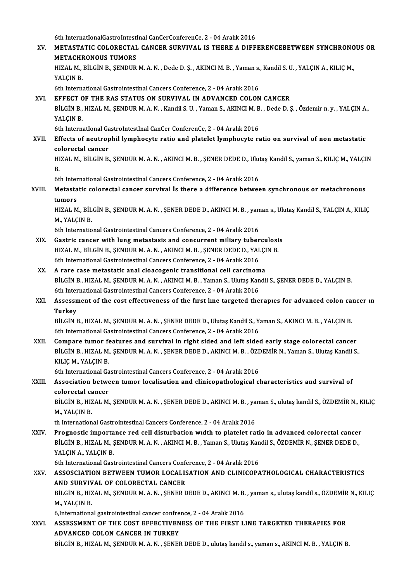6th InternatIonalGastroIntestInalCanCerConferenCe,2 -04Aralık2016

6th InternationalGastroIntestInal CanCerConferenCe, 2 - 04 Aralık 2016<br>XV. METASTATIC COLORECTAL CANCER SURVIVAL IS THERE A DIFFERENCEBETWEEN SYNCHRONOUS OR 6th InternationalGastroIntest<br>METASTATIC COLORECTAL<br>METACHRONOUS TUMORS<br>HIZAL M. BILCIN B. SENDUR METASTATIC COLORECTAL CANCER SURVIVAL IS THERE A DIFFERENCEBETWEEN SYNCHRONO<br>METACHRONOUS TUMORS<br>HIZAL M., BİLGİN B., ŞENDUR M. A. N. , Dede D. Ş. , AKINCI M. B. , Yaman s., Kandil S. U. , YALÇIN A., KILIÇ M<br>VALCIN P **METACHE<br>HIZAL M.,<br>YALÇIN B.<br>6th Intern** HIZAL M., BİLGİN B., ŞENDUR M. A. N. , Dede D. Ş. , AKINCI M. B. , Yaman s.<br>YALÇIN B.<br>6th International Gastrointestinal Cancers Conference, 2 - 04 Aralık 2016<br>EEEECT OF THE BAS STATIIS ON SUBVIVAL IN ADVANCED COLON YALÇIN B.<br>6th International Gastrointestinal Cancers Conference, 2 - 04 Aralık 2016<br>XVI. EFFECT OF THE RAS STATUS ON SURVIVAL IN ADVANCED COLON CANCER<br>PULCIN P. HIZAL M. SENDUP M.A.N. Kandil S. H. Yaman S. AKINCLM P. Dode 6th International Gastrointestinal Cancers Conference, 2 - 04 Aralık 2016<br>EFFECT OF THE RAS STATUS ON SURVIVAL IN ADVANCED COLON CANCER<br>BİLGİN B., HIZAL M., ŞENDUR M. A. N. , Kandil S. U. , Yaman S., AKINCI M. B. , Dede D. EFFECT O<br>BİLGİN B.,<br>YALÇIN B.<br>Eth Interna 6th InternatIonal GastroIntestInal CanCer ConferenCe, 2 - 04 Aralık 2016 YALÇIN B.<br>6th International GastroIntestInal CanCer ConferenCe, 2 - 04 Aralık 2016<br>XVII. Effects of neutrophil lymphocyte ratio and platelet lymphocyte ratio on survival of non metastatic<br>colorestal sanser 6th International Ga<br>Effects of neutrop<br>colorectal cancer<br>HIZAL M - Bit CIN B Effects of neutrophil lymphocyte ratio and platelet lymphocyte ratio on survival of non metastatic<br>colorectal cancer<br>HIZAL M., BİLGİN B., ŞENDUR M. A. N. , AKINCI M. B. , ŞENER DEDE D., Ulutaş Kandil S., yaman S., KILIÇ M. co<br>HI<br>Eti HIZAL M., BİLGİN B., ŞENDUR M. A. N. , AKINCI M. B. , ŞENER DEDE D., Ulutaş Kandil S., yaman S., KILIÇ M., YALÇIN<br>B. XVIII. Metastatic colorectal cancer survival İs there a difference between synchronous or metachronous<br>tumors 6th International Gastrointestinal Cancers Conference, 2 - 04 Aralık 2016 Metastatic colorectal cancer survival İs there a difference between synchronous or metachronous<br>tumors<br>HIZAL M., BİLGİN B., ŞENDUR M. A. N. , ŞENER DEDE D., AKINCI M. B. , yaman s., Ulutaş Kandil S., YALÇIN A., KILIÇ<br>M. YA tumors<br>HIZAL M., BİL<br>M., YALÇIN B.<br><sup>6th Internatio</sup> HIZAL M., BİLGİN B., ŞENDUR M. A. N. , ŞENER DEDE D., AKINCI M. B. , yan<br>M., YALÇIN B.<br>6th International Gastrointestinal Cancers Conference, 2 - 04 Aralık 2016<br>Costrie sansor with lung motostasis and sansurrant miliow tub M., YALÇIN B.<br>6th International Gastrointestinal Cancers Conference, 2 - 04 Aralık 2016<br>XIX. Gastric cancer with lung metastasis and concurrent miliary tuberculosis<br>HIZALM BILCIN B. SENDUB M.A.N. AKINCIM B. SENER DEDE D. V 6th International Gastrointestinal Cancers Conference, 2 - 04 Aralık 2016<br>Gastric cancer with lung metastasis and concurrent miliary tuberculosi<br>HIZAL M., BİLGİN B., ŞENDUR M. A. N. , AKINCI M. B. , ŞENER DEDE D., YALÇIN B Gastric cancer with lung metastasis and concurrent miliary tuber<br>HIZAL M., BİLGİN B., ŞENDUR M. A. N. , AKINCI M. B. , ŞENER DEDE D., YAL<br>6th International Gastrointestinal Cancers Conference, 2 - 04 Aralık 2016 HIZAL M., BILGIN B., ŞENDUR M. A. N., AKINCI M. B., ŞENER DEDE D., YALÇI<br>6th International Gastrointestinal Cancers Conference, 2 - 04 Aralık 2016<br>XX. A rare case metastatic anal cloacogenic transitional cell carcinoma<br>pit 6th International Gastrointestinal Cancers Conference, 2 - 04 Aralık 2016<br>A rare case metastatic anal cloacogenic transitional cell carcinoma<br>BİLGİN B., HIZAL M., ŞENDUR M. A. N. , AKINCI M. B. , Yaman S., Ulutaş Kandil S. A rare case metastatic anal cloacogenic transitional cell carcinom<br>BİLGİN B., HIZAL M., ŞENDUR M. A. N. , AKINCI M. B. , Yaman S., Ulutaş Kan<br>6th International Gastrointestinal Cancers Conference, 2 - 04 Aralık 2016 XXI. Assessment of the cost effectıveness of the fırst lıne targeted therapıes for advanced colon cancer ın 6th International Gastrointestinal Cancers Conference, 2 - 04 Aralık 2016 Assessment of the cost effectiveness of the first line targeted therapies for advanced colon ca:<br>Turkey<br>BİLGİN B., HIZAL M., ŞENDUR M. A. N. , ŞENER DEDE D., Ulutaş Kandil S., Yaman S., AKINCI M. B. , YALÇIN B.<br>Eth Interna Turkey<br>BİLGİN B., HIZAL M., ŞENDUR M. A. N. , ŞENER DEDE D., Ulutaş Kandil S., Y.<br>6th International Gastrointestinal Cancers Conference, 2 - 04 Aralık 2016<br>Compare tumer fostures and sunujual in night sided and left side BILGIN B., HIZAL M., ŞENDUR M. A. N., ŞENER DEDE D., Ulutaş Kandil S., Yaman S., AKINCI M. B., YALÇIN B.<br>6th International Gastrointestinal Cancers Conference, 2 - 04 Aralık 2016<br>XXII. Compare tumor features and survival i 6th International Gastrointestinal Cancers Conference, 2 - 04 Aralık 2016<br>Compare tumor features and survival in right sided and left sided early stage colorectal cancer<br>BİLGİN B., HIZAL M., ŞENDUR M. A. N. , ŞENER DEDE D. Compare tumor fo<br>BİLGİN B., HIZAL M.<br>KILIÇ M., YALÇIN B.<br><sup>Eth</sup> International Ca BİLGİN B., HIZAL M., ŞENDUR M. A. N. , ŞENER DEDE D., AKINCI M. B. , ÖZI<br>KILIÇ M., YALÇIN B.<br>6th International Gastrointestinal Cancers Conference, 2 - 04 Aralık 2016<br>Association between tumor localisation and elinisenethe KILIÇ M., YALÇIN B.<br>6th International Gastrointestinal Cancers Conference, 2 - 04 Aralık 2016<br>XXIII. Association between tumor localisation and clinicopathological characteristics and survival of<br>colorestal cancer 6th International Ga<br>Association betwe<br>colorectal cancer<br>P<sup>il Cin P H741</sup> M Association between tumor localisation and clinicopathological characteristics and survival of<br>colorectal cancer<br>BİLGİN B., HIZAL M., ŞENDUR M. A. N. , ŞENER DEDE D., AKINCI M. B. , yaman S., ulutaş kandil S., ÖZDEMİR N., colorectal ca<br>BİLGİN B., HIZ<br>M., YALÇIN B.<br>th Internation BİLGİN B., HIZAL M., ŞENDUR M. A. N. , ŞENER DEDE D., AKINCI M. B. , ya<br>M., YALÇIN B.<br>th International Gastrointestinal Cancers Conference, 2 - 04 Aralık 2016<br>Prognostis importance red sell disturbation uudth to platelet r M., YALÇIN B.<br>th International Gastrointestinal Cancers Conference, 2 - 04 Aralık 2016<br>XXIV. Prognostic importance red cell disturbation wıdth to platelet ratio in advanced colorectal cancer th International Gastrointestinal Cancers Conference, 2 - 04 Aralık 2016<br>Prognostic importance red cell disturbation wıdth to platelet ratio in advanced colorectal cancer<br>BİLGİN B., HIZAL M., ŞENDUR M. A. N. , AKINCI M. B. Prognostic importa<br>BİLGİN B., HIZAL M., Ş<br>YALÇIN A., YALÇIN B.<br>Eth International Cast BİLGİN B., HIZAL M., ŞENDUR M. A. N. , AKINCI M. B. , Yaman S., Ulutaş Kan<br>YALÇIN A., YALÇIN B.<br>6th International Gastrointestinal Cancers Conference, 2 - 04 Aralık 2016<br>ASSOSCIATION BETWEEN TUMOR LOCALISATION AND GLINICOR YALÇIN A., YALÇIN B.<br>6th International Gastrointestinal Cancers Conference, 2 - 04 Aralık 2016<br>XXV. ASSOSCIATION BETWEEN TUMOR LOCALISATION AND CLINICOPATHOLOGICAL CHARACTERISTICS<br>AND SURVIVAL OF COLORECTAL CANCER 6th International Gastrointestinal Cancers Conferences<br>ASSOSCIATION BETWEEN TUMOR LOCALIS<br>AND SURVIVAL OF COLORECTAL CANCER<br>PUCINE HIZAL M. SENDUR M.A.N. SENER D ASSOSCIATION BETWEEN TUMOR LOCALISATION AND CLINICOPATHOLOGICAL CHARACTERISTICS<br>AND SURVIVAL OF COLORECTAL CANCER<br>BİLGİN B., HIZAL M., ŞENDUR M. A. N. , ŞENER DEDE D., AKINCI M. B. , yaman s., ulutaş kandil s., ÖZDEMİR N., AND SURVIV<br>BİLGİN B., HIZ<br>M., YALÇIN B.<br>6 Internationa BİLGİN B., HIZAL M., ŞENDUR M. A. N. , ŞENER DEDE D., AKINCI M. B.<br>M., YALÇIN B.<br>6,International gastrointestinal cancer confrence, 2 - 04 Aralık 2016<br>ASSESSMENT OF THE COST EFFECTIVENESS OF THE FIDST L. M., YALÇIN B.<br>6, International gastrointestinal cancer confrence, 2 - 04 Aralık 2016<br>XXVI. ASSESSMENT OF THE COST EFFECTIVENESS OF THE FIRST LINE TARGETED THERAPIES FOR<br>ADVANCED COLON CANCER IN TURKEY 6, International gastrointestinal cancer confrence, 2 - 04 Aralık 2016

BİLGİN B., HIZAL M., ŞENDUR M. A. N., ŞENER DEDE D., ulutaş kandil s., yaman s., AKINCI M. B., YALÇIN B.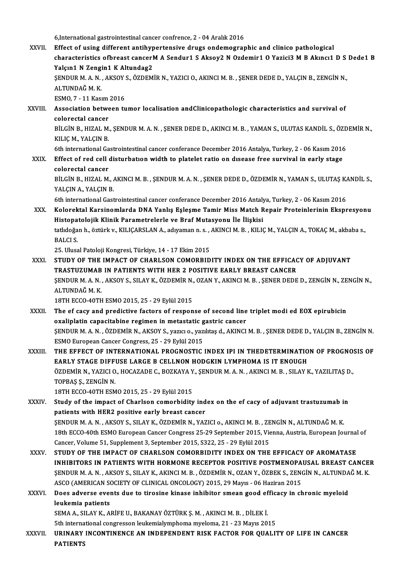6,Internationalgastrointestinal cancer confrence,2 -04Aralık2016

XXVII. Effect of using different antihypertensive drugs ondemographic and clinico pathological 6,International gastrointestinal cancer confrence, 2 - 04 Aralık 2016<br>Effect of using different antihypertensive drugs ondemographic and clinico pathological<br>characteristics ofbreast cancerM A Sendur1 S Aksoy2 N Ozdemir1 O Effect of using different antihyp<br>characteristics ofbreast cancerl<br>Yalçın1 N Zengin1 K Altundag2<br>SENDUR M A N AKSOV S ÖZDEM characteristics ofbreast cancerM A Sendur1 S Aksoy2 N Ozdemir1 O Yazici3 M B Akıncı1 D S<br>Yalçın1 N Zengin1 K Altundag2<br>ŞENDUR M. A. N. , AKSOY S., ÖZDEMİR N., YAZICI O., AKINCI M. B. , ŞENER DEDE D., YALÇIN B., ZENGİN N.,<br> Yalçın1 N Zengi<br>ŞENDUR M.A.N.<br>ALTUNDAĞ M.K.<br>ESMO 7 - 11 Kası SENDUR M. A. N. , AKSOY<br>ALTUNDAĞ M. K.<br>ESMO, 7 - 11 Kasım 2016<br>Association baturean tu ALTUNDAĞ M. K.<br>ESMO, 7 - 11 Kasım 2016<br>XXVIII. Association between tumor localisation andClinicopathologic characteristics and survival of ESMO, 7 - 11 Kasım<br>Association betwe<br>colorectal cancer<br>PU CIN P. HIZAL M Association between tumor localisation andClinicopathologic characteristics and survival of<br>colorectal cancer<br>BİLGİN B., HIZAL M., ŞENDUR M. A. N. , ŞENER DEDE D., AKINCI M. B. , YAMAN S., ULUTAS KANDİL S., ÖZDEMİR N.,<br>KU colorectal cancer<br>BİLGİN B., HIZAL M.<br>KILIÇ M., YALÇIN B.<br>Eth international Co BİLGİN B., HIZAL M., ŞENDUR M. A. N. , ŞENER DEDE D., AKINCI M. B. , YAMAN S., ULUTAS KANDİL S., ÖZD<br>KILIÇ M., YALÇIN B.<br>6th international Gastrointestinal cancer conferance December 2016 Antalya, Turkey, 2 - 06 Kasım 2016 KILIÇ M., YALÇIN B.<br>6th international Gastrointestinal cancer conferance December 2016 Antalya, Turkey, 2 - 06 Kasım 2016<br>XXIX. Effect of red cell disturbation width to platelet ratio on disease free survival in early stag 6th international Ga<br>Effect of red cell<br>colorectal cancer<br>PUCIN P. HIZAL M Effect of red cell disturbation width to platelet ratio on disease free survival in early stage<br>colorectal cancer<br>BİLGİN B., HIZAL M., AKINCI M. B. , ŞENDUR M. A. N. , ŞENER DEDE D., ÖZDEMİR N., YAMAN S., ULUTAŞ KANDİL S., colorectal cancer<br>BİLGİN B., HIZAL M., /<br>YALÇIN A., YALÇIN B.<br>Eth international Cast BİLGİN B., HIZAL M., AKINCI M. B. , ŞENDUR M. A. N. , ŞENER DEDE D., ÖZDEMİR N., YAMAN S., ULUTAŞ K.<br>YALÇIN A., YALÇIN B.<br>6th international Gastrointestinal cancer conferance December 2016 Antalya, Turkey, 2 - 06 Kasım 201 YALÇIN A., YALÇIN B.<br>6th international Gastrointestinal cancer conferance December 2016 Antalya, Turkey, 2 - 06 Kasım 2016<br>8XX. Kolorektal Karsinomlarda DNA Yanlış Esleşme Tamir Miss Match Repair Proteinlerinin Ekspres 6th international Gastrointestinal cancer conferance December 2016 Antaly<br>Kolorektal Karsinomlarda DNA Yanlış Eşleşme Tamir Miss Match R<br>Histopatolojik Klinik Parametrelerle ve Braf Mutasyonu İle İlişkisi<br>tatlıdoğan buğatü Kolorektal Karsinomlarda DNA Yanlış Eşleşme Tamir Miss Match Repair Proteinlerinin Ekspresyon<br>Histopatolojik Klinik Parametrelerle ve Braf Mutasyonu İle İlişkisi<br>tatlıdoğan h., öztürk v., KILIÇARSLAN A., adıyaman n. s. , A Hi<mark>stopa</mark><br>tatlıdoğa<br>BALCI S. tatlıdoğan h., öztürk v., KILIÇARSLAN A., adıyaman n. s. , .<br>BALCI S.<br>25. Ulusal Patoloji Kongresi, Türkiye, 14 - 17 Ekim 2015<br>STUDY OF THE IMBACT OF CHABI SON COMOBBID BALCI S.<br>25. Ulusal Patoloji Kongresi, Türkiye, 14 - 17 Ekim 2015<br>XXXI. STUDY OF THE IMPACT OF CHARLSON COMORBIDITY INDEX ON THE EFFICACY OF ADJUVANT<br>TRASTIIZIMAR IN RATIENTS WITH HER 2 ROSITIVE FARI V RREAST CANCER 25. Ulusal Patoloji Kongresi, Türkiye, 14 - 17 Ekim 2015<br>STUDY OF THE IMPACT OF CHARLSON COMORBIDITY INDEX ON THE EFFICAC<br>TRASTUZUMAB IN PATIENTS WITH HER 2 POSITIVE EARLY BREAST CANCER<br>SENDUR M.A.N., AKSOV S. SU AV K. ÖZD STUDY OF THE IMPACT OF CHARLSON COMORBIDITY INDEX ON THE EFFICACY OF ADJUVANT<br>TRASTUZUMAB IN PATIENTS WITH HER 2 POSITIVE EARLY BREAST CANCER<br>ŞENDUR M. A. N. , AKSOY S., SILAY K., ÖZDEMİR N., OZAN Y., AKINCI M. B. , ŞENER TRASTUZUMAB<br>ŞENDUR M. A. N.<br>ALTUNDAĞ M. K.<br>19TH ECCO ACTH SENDUR M. A. N. , AKSOY S., SILAY K., ÖZDEMİR N.,<br>ALTUNDAĞ M. K.<br>18TH ECCO-40TH ESMO 2015, 25 - 29 Eylül 2015<br>The of sasy and prodistive fastars of respon ALTUNDAĞ M. K.<br>18TH ECCO-40TH ESMO 2015, 25 - 29 Eylül 2015<br>XXXII. The ef cacy and predictive factors of response of second line triplet modi ed EOX epirubicin 18TH ECCO-40TH ESMO 2015, 25 - 29 Eylül 2015<br>The ef cacy and predictive factors of response of second line<br>oxaliplatin capacitabine regimen in metastatic gastric cancer<br>SENDUP M A N \_ÖZDEMİP N \_AKSOV S\_YOTG Q\_YOTHIOS d\_AKI ŞENDUR M. A. N. , ÖZDEMİR N., AKSOY S., yazıcı o., yazılıtaş d., AKINCI M. B. , ŞENER DEDE D., YALÇIN B., ZENGİN N.<br>ESMO European Cancer Congress, 25 - 29 Eylül 2015 oxaliplatin capacitabine regimen in metastatic g<br>ŞENDUR M. A. N. , ÖZDEMİR N., AKSOY S., yazıcı o., yaz<br>ESMO European Cancer Congress, 25 - 29 Eylül 2015<br>THE EEEECT OF INTERNATIONAL PROCNOSTIC SENDUR M. A. N. , ÖZDEMİR N., AKSOY S., yazıcı o., yazılıtaş d., AKINCI M. B. , ŞENER DEDE D., YALÇIN B., ZENGİN N.<br>ESMO European Cancer Congress, 25 - 29 Eylül 2015<br>XXXIII. THE EFFECT OF INTERNATIONAL PROGNOSTIC IN ESMO European Cancer Congress, 25 - 29 Eylül 2015<br>THE EFFECT OF INTERNATIONAL PROGNOSTIC INDEX IPI IN THEDETERMINATIO<br>EARLY STAGE DIFFUSE LARGE B CELLNON HODGKIN LYMPHOMA IS IT ENOUGH<br>ÖZDEMIR N. VAZICLO, HOCAZADE C. BOZKAV THE EFFECT OF INTERNATIONAL PROGNOSTIC INDEX IPI IN THEDETERMINATION OF PROGNO:<br>EARLY STAGE DIFFUSE LARGE B CELLNON HODGKIN LYMPHOMA IS IT ENOUGH<br>ÖZDEMİR N., YAZICI O., HOCAZADE C., BOZKAYA Y., ŞENDUR M. A. N. , AKINCI M. EARLY STAGE DIFF<br>ÖZDEMİR N., YAZICI O<br>TOPBAŞ Ş., ZENGİN N.<br>19TH ECCO 40TH ESM ÖZDEMİR N., YAZICI O., HOCAZADE C., BOZKAYA Y<br>TOPBAŞ Ş., ZENGİN N.<br>18TH ECCO-40TH ESMO 2015, 25 - 29 Eylül 2015<br>Study of the impact of Charleep comorbidity TOPBAŞ Ş., ZENGİN N.<br>18TH ECCO-40TH ESMO 2015, 25 - 29 Eylül 2015<br>XXXIV. Study of the impact of Charlson comorbidity index on the ef cacy of adjuvant trastuzumab in patients with HER2 positive early breast cancer Study of the impact of Charlson comorbidity index on the ef cacy of adjuvant trastuzumab i:<br>patients with HER2 positive early breast cancer<br>ŞENDUR M. A. N. , AKSOY S., SILAY K., ÖZDEMİR N., YAZICI o., AKINCI M. B. , ZENGİN patients with HER2 positive early breast cancer<br>ŞENDUR M. A. N. , AKSOY S., SILAY K., ÖZDEMİR N., YAZICI o., AKINCI M. B. , ZENGİN N., ALTUNDAĞ M. K.<br>18th ECCO-40th ESMO European Cancer Congress 25-29 September 2015, Vienn SENDUR M. A. N. , AKSOY S., SILAY K., ÖZDEMİR N., YAZICI o., AKINCI M. B. , ZE<br>18th ECCO-40th ESMO European Cancer Congress 25-29 September 2015, Vic<br>Cancer, Volume 51, Supplement 3, September 2015, S322, 25 - 29 Eylül 201 18th ECCO-40th ESMO European Cancer Congress 25-29 September 2015, Vienna, Austria, European Journal of<br>Cancer, Volume 51, Supplement 3, September 2015, S322, 25 - 29 Eylül 2015<br>XXXV. STUDY OF THE IMPACT OF CHARLSON COM INHIBITORS IN PATIENTSWITH HORMONE RECEPTOR POSITIVE POSTMENOPAUSAL BREAST CANCER STUDY OF THE IMPACT OF CHARLSON COMORBIDITY INDEX ON THE EFFICACY OF AROMATASE<br>INHIBITORS IN PATIENTS WITH HORMONE RECEPTOR POSITIVE POSTMENOPAUSAL BREAST CANCE<br>ŞENDUR M. A. N. , AKSOY S., SILAY K., AKINCI M. B. , ÖZDEMİR INHIBITORS IN PATIENTS WITH HORMONE RECEPTOR POSITIVE POSTMENOPA<br>ŞENDUR M. A. N. , AKSOY S., SILAY K., AKINCI M. B. , ÖZDEMİR N., OZAN Y., ÖZBEK S., ZENG<br>ASCO (AMERICAN SOCIETY OF CLINICAL ONCOLOGY) 2015, 29 Mayıs - 06 Haz SENDUR M. A. N. , AKSOY S., SILAY K., AKINCI M. B. , ÖZDEMİR N., OZAN Y., ÖZBEK S., ZENGİN N., ALTUNDA<br>ASCO (AMERICAN SOCIETY OF CLINICAL ONCOLOGY) 2015, 29 Mayıs - 06 Haziran 2015<br>XXXVI. Does adverse events due to tirosin ASCO (AMERICAN SOCIETY OF CLINICAL ONCOLOGY) 2015, 29 Mayıs - 06 Haziran 2015<br>Does adverse events due to tirosine kinase inhibitor smean good efficacy in chronic myeloid<br>leukemia patients Does adverse events due to tirosine kinase inhibitor smean good ef<br>leukemia patients<br>SEMA A., SILAY K., ARİFE U., BAKANAY ÖZTÜRK Ş. M. , AKINCI M. B. , DİLEK İ.<br>Eth international sengresson leukemialumphama muslama 21, 22 leukemia patients<br>SEMA A., SILAY K., ARİFE U., BAKANAY ÖZTÜRK Ş. M. , AKINCI M. B. , DİLEK İ.<br>5th international congresson leukemialymphoma myeloma, 21 - 23 Mayıs 2015<br>URINARY INCONTINENCE AN INDERENDENT RISK EACTOR EOR OU SEMA A., SILAY K., ARIFE U., BAKANAY ÖZTÜRK Ş. M. , AKINCI M. B. , DİLEK İ.<br>5th international congresson leukemialymphoma myeloma, 21 - 23 Mayıs 2015<br>XXXVII. URINARY INCONTINENCE AN INDEPENDENT RISK FACTOR FOR QUALITY 5th interna<br>URINARY<br>PATIENTS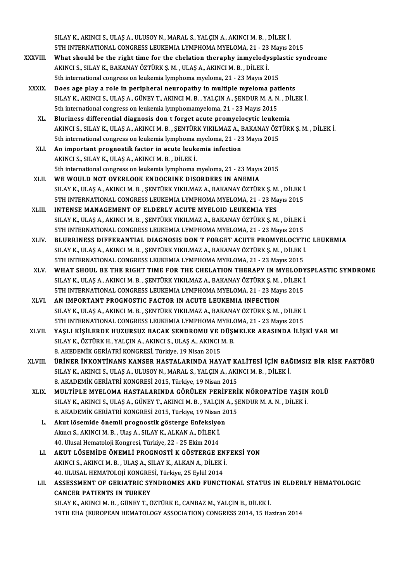SILAY K., AKINCI S., ULAŞ A., ULUSOY N., MARAL S., YALÇIN A., AKINCI M. B. , DİLEK İ.<br>ETH INTERNATIONAL CONCRESS I FUKEMIA I YMPHOMA MYELOMA, 21, ....?? Mayr.? SILAY K., AKINCI S., ULAŞ A., ULUSOY N., MARAL S., YALÇIN A., AKINCI M. B. , DİLEK İ.<br>5TH INTERNATIONAL CONGRESS LEUKEMIA LYMPHOMA MYELOMA, 21 - 23 Mayıs 2015<br>What shauld be the right time for the shalation therenby inmyel SILAY K., AKINCI S., ULAŞ A., ULUSOY N., MARAL S., YALÇIN A., AKINCI M. B. , DİLEK İ.<br>5TH INTERNATIONAL CONGRESS LEUKEMIA LYMPHOMA MYELOMA, 21 - 23 Mayıs 2015<br>XXXVIII. What should be the right time for the chelation therap

- 5TH INTERNATIONAL CONGRESS LEUKEMIA LYMPHOMA MYELOMA, 21 23 Mayıs 2015<br>What should be the right time for the chelation theraphy inmyelodysplastic syi<br>AKINCI S., SILAY K., BAKANAY ÖZTÜRK Ş. M. , ULAŞ A., AKINCI M. B. , Dİ What should be the right time for the chelation theraphy inmyelodysplant where  $\frac{1}{2}$  and  $\frac{1}{2}$  and  $\frac{1}{2}$  and  $\frac{1}{2}$  and  $\frac{1}{2}$  and  $\frac{1}{2}$  and  $\frac{1}{2}$  and  $\frac{1}{2}$  and  $\frac{1}{2}$  and  $\frac{1}{2}$  and  $\frac$
- XXXIX. Does age play a role in peripheral neuropathy in multiple myeloma patients 5th international congress on leukemia lymphoma myeloma, 21 - 23 Mayıs 2015<br>Does age play a role in peripheral neuropathy in multiple myeloma patients<br>SILAY K., AKINCI S., ULAŞ A., GÜNEY T., AKINCI M. B. , YALÇIN A., ŞENDU Does age play a role in peripheral neuropathy in multiple myeloma pat<br>SILAY K., AKINCI S., ULAŞ A., GÜNEY T., AKINCI M. B. , YALÇIN A., ŞENDUR M. A. N<br>5th international congress on leukemia lymphomamyeloma, 21 - 23 Mayıs 2 SILAY K., AKINCI S., ULAŞ A., GÜNEY T., AKINCI M. B., YALÇIN A., ŞENDUR M. A. N., Dİ<br>5th international congress on leukemia lymphomamyeloma, 21 - 23 Mayıs 2015<br>XL. Bluriness differential diagnosis don t forget acute promye
	- 5th international congress on leukemia lymphomamyeloma, 21 23 Mayıs 2015<br>Bluriness differential diagnosis don t forget acute promyelocytic leukemia<br>AKINCI S., SILAY K., ULAŞ A., AKINCI M. B. , ŞENTÜRK YIKILMAZ A., BAKANA Bluriness differential diagnosis don t forget acute promyelocytic leukemia 5th international congress on leukemia lymphoma myeloma, 21 - 23 Mayıs 2015
	- XLI. An important prognostik factor in acute leukemia infection An important prognostik factor in acute leukemia infection<br>AKINCI S., SILAY K., ULAŞ A., AKINCI M. B. , DİLEK İ.<br>5th international congress on leukemia lymphoma myeloma, 21 - 23 Mayıs 2015<br>WE WOULD NOT OVERLOOK ENDOCRINE D AKINCI S., SILAY K., ULAŞ A., AKINCI M. B., DİLEK İ.<br>5th international congress on leukemia lymphoma myeloma, 21 - 23 Mayıs<br>XLII. WE WOULD NOT OVERLOOK ENDOCRINE DISORDERS IN ANEMIA
	- 5th international congress on leukemia lymphoma myeloma, 21 23 Mayıs 2015<br>WE WOULD NOT OVERLOOK ENDOCRINE DISORDERS IN ANEMIA<br>SILAY K., ULAŞ A., AKINCI M. B. , ŞENTÜRK YIKILMAZ A., BAKANAY ÖZTÜRK Ş. M. , DİLEK İ.<br>ETH INT WE WOULD NOT OVERLOOK ENDOCRINE DISORDERS IN ANEMIA<br>SILAY K., ULAŞ A., AKINCI M. B. , ŞENTÜRK YIKILMAZ A., BAKANAY ÖZTÜRK Ş. M. , DİLEK İ<br>5TH INTERNATIONAL CONGRESS LEUKEMIA LYMPHOMA MYELOMA, 21 - 23 Mayıs 2015<br>INTENSE MAN SILAY K., ULAŞ A., AKINCI M. B. , ŞENTÜRK YIKILMAZ A., BAKANAY ÖZTÜRK Ş. M<br>5TH INTERNATIONAL CONGRESS LEUKEMIA LYMPHOMA MYELOMA, 21 - 23 Ma<br>XLIII. INTENSE MANAGEMENT OF ELDERLY ACUTE MYELOID LEUKEMIA YES
	- 5TH INTERNATIONAL CONGRESS LEUKEMIA LYMPHOMA MYELOMA, 21 23 Mayıs 2015<br>INTENSE MANAGEMENT OF ELDERLY ACUTE MYELOID LEUKEMIA YES<br>SILAY K., ULAŞ A., AKINCI M. B. , ŞENTÜRK YIKILMAZ A., BAKANAY ÖZTÜRK Ş. M. , DİLEK İ. INTENSE MANAGEMENT OF ELDERLY ACUTE MYELOID LEUKEMIA YES<br>SILAY K., ULAŞ A., AKINCI M. B. , ŞENTÜRK YIKILMAZ A., BAKANAY ÖZTÜRK Ş. M. , DİLEK İ<br>5TH INTERNATIONAL CONGRESS LEUKEMIA LYMPHOMA MYELOMA, 21 - 23 Mayıs 2015<br>BI URR
	- XLIV. BLURRINESS DIFFERANTIAL DIAGNOSIS DON T FORGET ACUTE PROMYELOCYTIC LEUKEMIA<br>SILAY K., ULAŞ A., AKINCI M. B. , ŞENTÜRK YIKILMAZ A., BAKANAY ÖZTÜRK Ş. M. , DİLEK İ. 5TH INTERNATIONAL CONGRESS LEUKEMIA LYMPHOMA MYELOMA, 21 - 23 Mayıs 2015<br>BLURRINESS DIFFERANTIAL DIAGNOSIS DON T FORGET ACUTE PROMYELOCYTI<br>SILAY K., ULAŞ A., AKINCI M. B. , ŞENTÜRK YIKILMAZ A., BAKANAY ÖZTÜRK Ş. M. , DİLEK BLURRINESS DIFFERANTIAL DIAGNOSIS DON T FORGET ACUTE PROMYELOCYTI<br>SILAY K., ULAŞ A., AKINCI M. B. , ŞENTÜRK YIKILMAZ A., BAKANAY ÖZTÜRK Ş. M. , DİLEK İ<br>5TH INTERNATIONAL CONGRESS LEUKEMIA LYMPHOMA MYELOMA, 21 - 23 Mayıs 20
	- XLV. WHAT SHOUL BE THE RIGHT TIME FOR THE CHELATION THERAPY IN MYELODYSPLASTIC SYNDROME<br>SILAY K., ULAŞ A., AKINCI M. B., ŞENTÜRK YIKILMAZ A., BAKANAY ÖZTÜRK Ş. M., DİLEK İ. 5TH INTERNATIONAL CONGRESS LEUKEMIA LYMPHOMA MYELOMA, 21 - 23 Mayıs 2015<br>WHAT SHOUL BE THE RIGHT TIME FOR THE CHELATION THERAPY IN MYELODY<br>SILAY K., ULAŞ A., AKINCI M. B. , ŞENTÜRK YIKILMAZ A., BAKANAY ÖZTÜRK Ş. M. , DİLEK WHAT SHOUL BE THE RIGHT TIME FOR THE CHELATION THERAPY IN MYELODY<br>SILAY K., ULAŞ A., AKINCI M. B. , ŞENTÜRK YIKILMAZ A., BAKANAY ÖZTÜRK Ş. M. , DİLEK İ<br>5TH INTERNATIONAL CONGRESS LEUKEMIA LYMPHOMA MYELOMA, 21 - 23 Mayıs 20 SILAY K., ULAŞ A., AKINCI M. B., ŞENTÜRK YIKILMAZ A., BAKANAY ÖZTÜRK Ş. M., 5TH INTERNATIONAL CONGRESS LEUKEMIA LYMPHOMA MYELOMA, 21 - 23 May<br>XLVI. AN IMPORTANT PROGNOSTIC FACTOR IN ACUTE LEUKEMIA INFECTION<br>SILAY K. HLAS A
- 5TH INTERNATIONAL CONGRESS LEUKEMIA LYMPHOMA MYELOMA, 21 23 Mayıs 2015<br>AN IMPORTANT PROGNOSTIC FACTOR IN ACUTE LEUKEMIA INFECTION<br>SILAY K., ULAŞ A., AKINCI M. B. , ŞENTÜRK YIKILMAZ A., BAKANAY ÖZTÜRK Ş. M. , DİLEK İ.<br>ETH AN IMPORTANT PROGNOSTIC FACTOR IN ACUTE LEUKEMIA INFECTION<br>SILAY K., ULAŞ A., AKINCI M. B. , ŞENTÜRK YIKILMAZ A., BAKANAY ÖZTÜRK Ş. M. , DİLEK İ<br>5TH INTERNATIONAL CONGRESS LEUKEMIA LYMPHOMA MYELOMA, 21 - 23 Mayıs 2015<br>YASI SILAY K., ULAŞ A., AKINCI M. B. , ŞENTÜRK YIKILMAZ A., BAKANAY ÖZTÜRK Ş. M. , DİLEK İ.<br>5TH INTERNATIONAL CONGRESS LEUKEMIA LYMPHOMA MYELOMA, 21 - 23 Mayıs 2015<br>XLVII. YAŞLI KİŞİLERDE HUZURSUZ BACAK SENDROMU VE DÜŞMELER
- 5TH INTERNATIONAL CONGRESS LEUKEMIA LYMPHOMA MYELO<br>YAŞLI KİŞİLERDE HUZURSUZ BACAK SENDROMU VE DÜŞI<br>SILAY K., ÖZTÜRK H., YALÇIN A., AKINCI S., ULAŞ A., AKINCI M. B.<br>8. AKEDEMİK CERİATRİ KONCRESİ Türkiye 19 Nisen 2015 YAŞLI KİŞİLERDE HUZURSUZ BACAK SENDROMU VE I<br>SILAY K., ÖZTÜRK H., YALÇIN A., AKINCI S., ULAŞ A., AKINCI I<br>8. AKEDEMİK GERİATRİ KONGRESİ, Türkiye, 19 Nisan 2015<br>ÜPİNER İNKONTİNANS KANSER HASTALARINDA HAY SILAY K., ÖZTÜRK H., YALÇIN A., AKINCI S., ULAŞ A., AKINCI M. B.<br>8. AKEDEMİK GERİATRİ KONGRESİ, Türkiye, 19 Nisan 2015<br>XLVIII. ÜRİNER İNKONTİNANS KANSER HASTALARINDA HAYAT KALİTESİ İÇİN BAĞIMSIZ BİR RİSK FAKTÖRÜ
- 8. AKEDEMİK GERİATRİ KONGRESİ, Türkiye, 19 Nisan 2015<br><mark>ÜRİNER İNKONTİNANS KANSER HASTALARINDA HAYAT KALİTESİ İÇİN BA</mark><br>SILAY K., AKINCI S., ULAŞ A., ULUSOY N., MARAL S., YALÇIN A., AKINCI M. B. , DİLEK İ.<br>8. AKADEMİK GERİAT SILAY K., AKINCI S., ULAŞ A., ULUSOY N., MARAL S., YALÇIN A., AKINCI M. B. , DİLEK İ.<br>8. AKADEMİK GERİATRİ KONGRESİ 2015, Türkiye, 19 Nisan 2015
- XLIX. MULTİPLEMYELOMA HASTALARINDA GÖRÜLEN PERİFERİK NÖROPATİDE YAŞIN ROLÜ SILAY K., AKINCI S., ULAŞ A., GÜNEY T., AKINCI M. B., YALÇIN A., ŞENDUR M. A. N., DİLEK İ. 8. AKADEMİK GERİATRİ KONGRESİ 2015, Türkiye, 19 Nisan 2015 SILAY K., AKINCI S., ULAŞ A., GÜNEY T., AKINCI M. B., YALÇIN.<br>8. AKADEMİK GERİATRİ KONGRESİ 2015, Türkiye, 19 Nisan 20<br>1. Akut lösemide önemli prognostik gösterge Enfeksiyon
	- 8. AKADEMİK GERİATRİ KONGRESİ 2015, Türkiye, 19 Nisan<br>Akut lösemide önemli prognostik gösterge Enfeksiyo<br>Akıncı S., AKINCI M. B. , Ulaş A., SILAY K., ALKAN A., DİLEK İ.<br>40 Hlucal Hamataleji Kongresi Türkiye 22 25 Ekim 20 Akut lösemide önemli prognostik gösterge Enfeksiyo<br>Akıncı S., AKINCI M. B. , Ulaş A., SILAY K., ALKAN A., DİLEK İ.<br>40. Ulusal Hematoloji Kongresi, Türkiye, 22 - 25 Ekim 2014<br>AKUT I ÖSEMİDE ÖNEMLİ PROCNOSTİ K GÖSTERCE E Akıncı S., AKINCI M. B. , Ulaş A., SILAY K., ALKAN A., DİLEK İ.<br>40. Ulusal Hematoloji Kongresi, Türkiye, 22 - 25 Ekim 2014<br>LI. AKUT LÖSEMİDE ÖNEMLİ PROGNOSTİ K GÖSTERGE ENFEKSİ YON
	- 40. Ulusal Hematoloji Kongresi, Türkiye, 22 25 Ekim 2014<br>AKUT LÖSEMİDE ÖNEMLİ PROGNOSTİ K GÖSTERGE ENI<br>AKINCI S., AKINCI M. B. , ULAŞ A., SILAY K., ALKAN A., DİLEK İ.<br>40. ULUSAL HEMATOLOJİ KONGRESİ Türkiye, 25 Evlül 2014 AKUT LÖSEMİDE ÖNEMLİ PROGNOSTİ K GÖSTERGE EN<br>AKINCI S., AKINCI M. B. , ULAŞ A., SILAY K., ALKAN A., DİLEK İ<br>40. ULUSAL HEMATOLOJİ KONGRESİ, Türkiye, 25 Eylül 2014<br>ASSESSMENT OF CEPLATPLC SYNDROMES AND EUNCT 40. ULUSAL HEMATOLOJİ KONGRESİ, Türkiye, 25 Eylül 2014
	- LII. ASSESSMENT OF GERIATRIC SYNDROMES AND FUNCTIONAL STATUS IN ELDERLY HEMATOLOGIC<br>CANCER PATIENTS IN TURKEY SILAY K., AKINCI M. B., GÜNEY T., ÖZTÜRK E., CANBAZ M., YALÇIN B., DİLEK İ. 19TH EHA (EUROPEAN HEMATOLOGY ASSOCIATION) CONGRESS 2014, 15 Haziran 2014